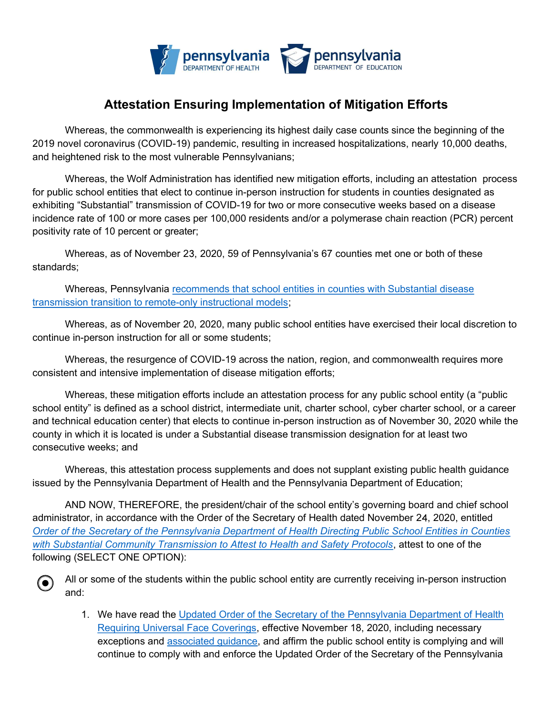

## Attestation Ensuring Implementation of Mitigation Efforts

Whereas, the commonwealth is experiencing its highest daily case counts since the beginning of the 2019 novel coronavirus (COVID-19) pandemic, resulting in increased hospitalizations, nearly 10,000 deaths, and heightened risk to the most vulnerable Pennsylvanians;

Whereas, the Wolf Administration has identified new mitigation efforts, including an attestation process for public school entities that elect to continue in-person instruction for students in counties designated as exhibiting "Substantial" transmission of COVID-19 for two or more consecutive weeks based on a disease incidence rate of 100 or more cases per 100,000 residents and/or a polymerase chain reaction (PCR) percent positivity rate of 10 percent or greater;

Whereas, as of November 23, 2020, 59 of Pennsylvania's 67 counties met one or both of these standards;

Whereas, Pennsylvania recommends that school entities in counties with Substantial disease transmission transition to remote-only instructional models;

Whereas, as of November 20, 2020, many public school entities have exercised their local discretion to continue in-person instruction for all or some students;

Whereas, the resurgence of COVID-19 across the nation, region, and commonwealth requires more consistent and intensive implementation of disease mitigation efforts;

Whereas, these mitigation efforts include an attestation process for any public school entity (a "public school entity" is defined as a school district, intermediate unit, charter school, cyber charter school, or a career and technical education center) that elects to continue in-person instruction as of November 30, 2020 while the county in which it is located is under a Substantial disease transmission designation for at least two consecutive weeks; and

Whereas, this attestation process supplements and does not supplant existing public health guidance issued by the Pennsylvania Department of Health and the Pennsylvania Department of Education;

AND NOW, THEREFORE, the president/chair of the school entity's governing board and chief school administrator, in accordance with the Order of the Secretary of Health dated November 24, 2020, entitled Order of the Secretary of the Pennsylvania Department of Health Directing Public School Entities in Counties with Substantial Community Transmission to Attest to Health and Safety Protocols, attest to one of the following (SELECT ONE OPTION):



1. We have read the Updated Order of the Secretary of the Pennsylvania Department of Health Requiring Universal Face Coverings, effective November 18, 2020, including necessary exceptions and associated guidance, and affirm the public school entity is complying and will continue to comply with and enforce the Updated Order of the Secretary of the Pennsylvania